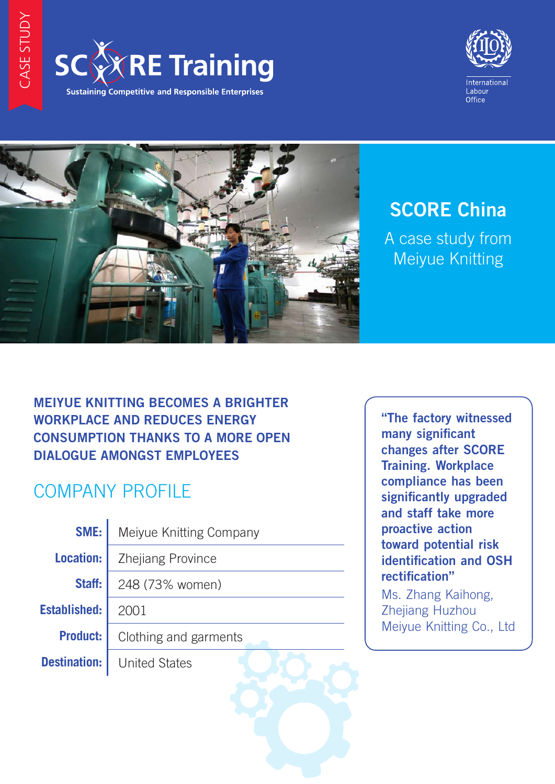





# **SCORE China**

A case study from Meiyue Knitting

### **MEIYUE KNITTING BECOMES A BRIGHTER WORKPLACE AND REDUCES ENERGY CONSUMPTION THANKS TO A MORE OPEN DIALOGUE AMONGST EMPLOYEES**

## COMPANY PROFILE

**SME:** Meiyue Knitting Company **Location: Zhejiang Province Staff:** 248 (73% women) **Established:** 2001 **Product:** Clothing and garments **Destination:** United States

"The factory witnessed many significant changes after SCORE Training. Workplace compliance has been significantly upgraded and staff take more proactive action toward potential risk identification and OSH rectification"

Ms. Zhang Kaihong, Zhejiang Huzhou Meiyue Knitting Co., Ltd